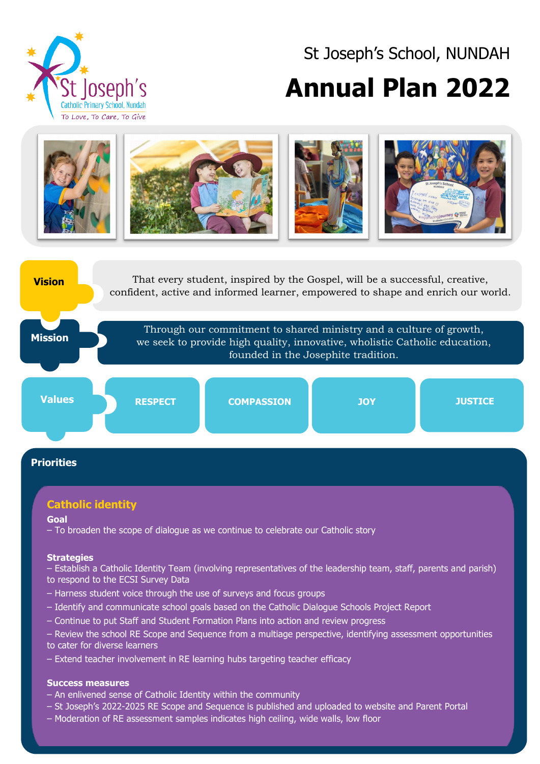

# St Joseph's School, NUNDAH **Annual Plan 2022**





# **Catholic identity**

#### **Goal**

– To broaden the scope of dialogue as we continue to celebrate our Catholic story

#### **Strategies**

- Establish a Catholic Identity Team (involving representatives of the leadership team, staff, parents and parish) to respond to the ECSI Survey Data
- Harness student voice through the use of surveys and focus groups
- Identify and communicate school goals based on the Catholic Dialogue Schools Project Report
- Continue to put Staff and Student Formation Plans into action and review progress
- Review the school RE Scope and Sequence from a multiage perspective, identifying assessment opportunities to cater for diverse learners
- Extend teacher involvement in RE learning hubs targeting teacher efficacy

#### **Success measures**

- An enlivened sense of Catholic Identity within the community
- St Joseph's 2022-2025 RE Scope and Sequence is published and uploaded to website and Parent Portal
- Moderation of RE assessment samples indicates high ceiling, wide walls, low floor